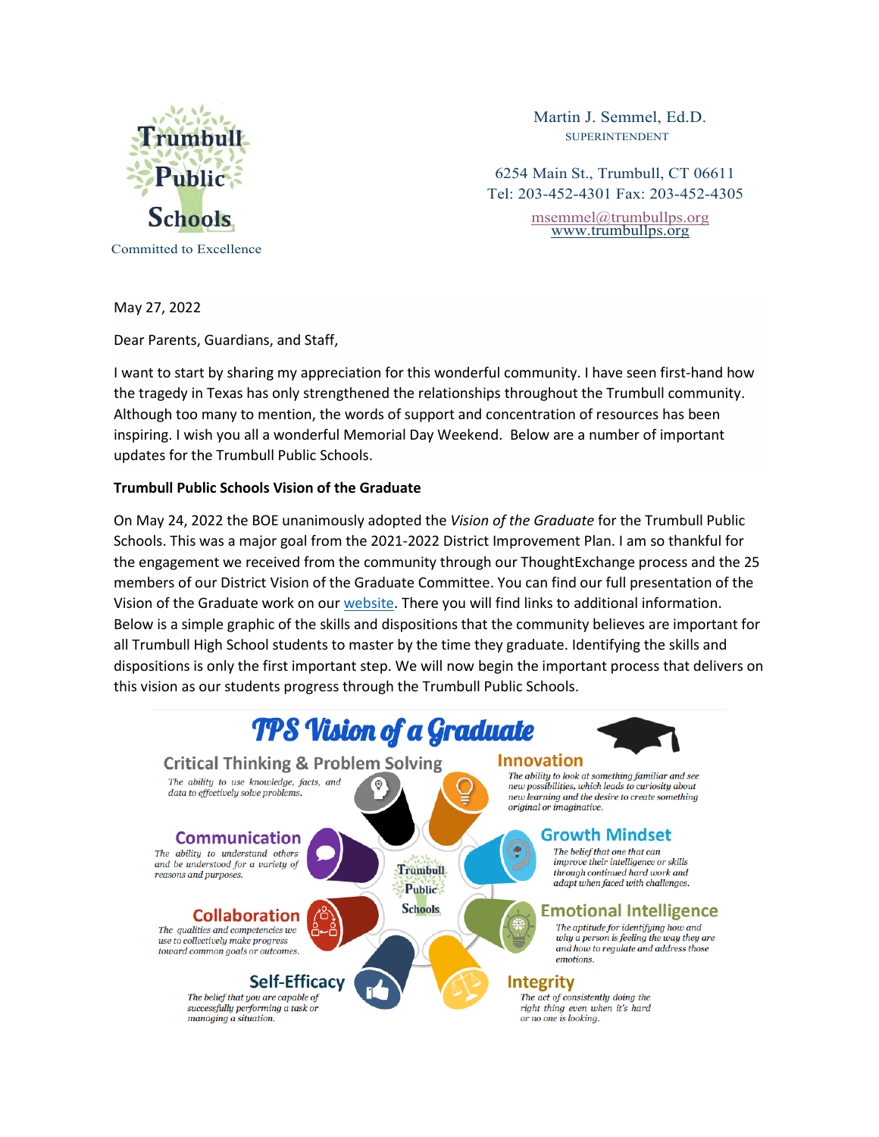

Martin J. Semmel, Ed.D. SUPERINTENDENT

6254 Main St., Trumbull, CT 06611 Tel: 203-452-4301 Fax: 203-452-4305

> [msemmel@trumbullps.org](mailto:msemmel@trumbullps.org) [www.trumbullps.org](http://www.trumbullps.org/)

May 27, 2022

Dear Parents, Guardians, and Staff,

I want to start by sharing my appreciation for this wonderful community. I have seen first-hand how the tragedy in Texas has only strengthened the relationships throughout the Trumbull community. Although too many to mention, the words of support and concentration of resources has been inspiring. I wish you all a wonderful Memorial Day Weekend. Below are a number of important updates for the Trumbull Public Schools.

### **Trumbull Public Schools Vision of the Graduate**

On May 24, 2022 the BOE unanimously adopted the *Vision of the Graduate* for the Trumbull Public Schools. This was a major goal from the 2021-2022 District Improvement Plan. I am so thankful for the engagement we received from the community through our ThoughtExchange process and the 25 members of our District Vision of the Graduate Committee. You can find our full presentation of the Vision of the Graduate work on our [website.](https://www.trumbullps.org/techlearn/tps-vision-of-the-graduate.html) There you will find links to additional information. Below is a simple graphic of the skills and dispositions that the community believes are important for all Trumbull High School students to master by the time they graduate. Identifying the skills and dispositions is only the first important step. We will now begin the important process that delivers on this vision as our students progress through the Trumbull Public Schools.

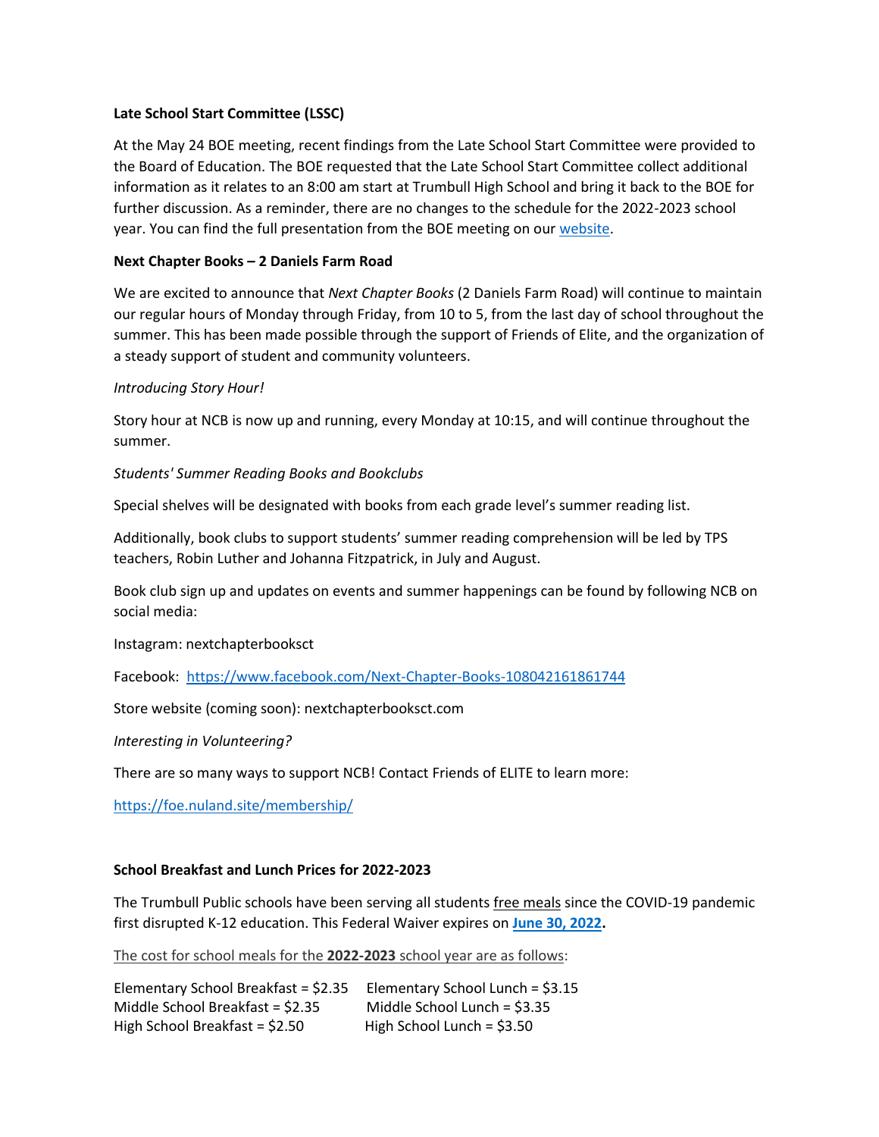## **Late School Start Committee (LSSC)**

At the May 24 BOE meeting, recent findings from the Late School Start Committee were provided to the Board of Education. The BOE requested that the Late School Start Committee collect additional information as it relates to an 8:00 am start at Trumbull High School and bring it back to the BOE for further discussion. As a reminder, there are no changes to the schedule for the 2022-2023 school year. You can find the full presentation from the BOE meeting on ou[r website.](https://www.trumbullps.org/Attachments/LateSchool/5-24-22.pdf)

# **Next Chapter Books – 2 Daniels Farm Road**

We are excited to announce that *Next Chapter Books* (2 Daniels Farm Road) will continue to maintain our regular hours of Monday through Friday, from 10 to 5, from the last day of school throughout the summer. This has been made possible through the support of Friends of Elite, and the organization of a steady support of student and community volunteers.

## *Introducing Story Hour!*

Story hour at NCB is now up and running, every Monday at 10:15, and will continue throughout the summer.

### *Students' Summer Reading Books and Bookclubs*

Special shelves will be designated with books from each grade level's summer reading list.

Additionally, book clubs to support students' summer reading comprehension will be led by TPS teachers, Robin Luther and Johanna Fitzpatrick, in July and August.

Book club sign up and updates on events and summer happenings can be found by following NCB on social media:

Instagram: nextchapterbooksct

Facebook: <https://www.facebook.com/Next-Chapter-Books-108042161861744>

Store website (coming soon): nextchapterbooksct.com

*Interesting in Volunteering?*

There are so many ways to support NCB! Contact Friends of ELITE to learn more:

<https://foe.nuland.site/membership/>

#### **School Breakfast and Lunch Prices for 2022-2023**

The Trumbull Public schools have been serving all students free meals since the COVID-19 pandemic first disrupted K-12 education. This Federal Waiver expires on **[June 30, 2022.](https://www.fns.usda.gov/cn/covid-19-child-nutrition-response-85)**

The cost for school meals for the **2022-2023** school year are as follows:

Elementary School Breakfast = \$2.35 Elementary School Lunch = \$3.15 Middle School Breakfast = \$2.35 Middle School Lunch = \$3.35 High School Breakfast =  $$2.50$  High School Lunch =  $$3.50$